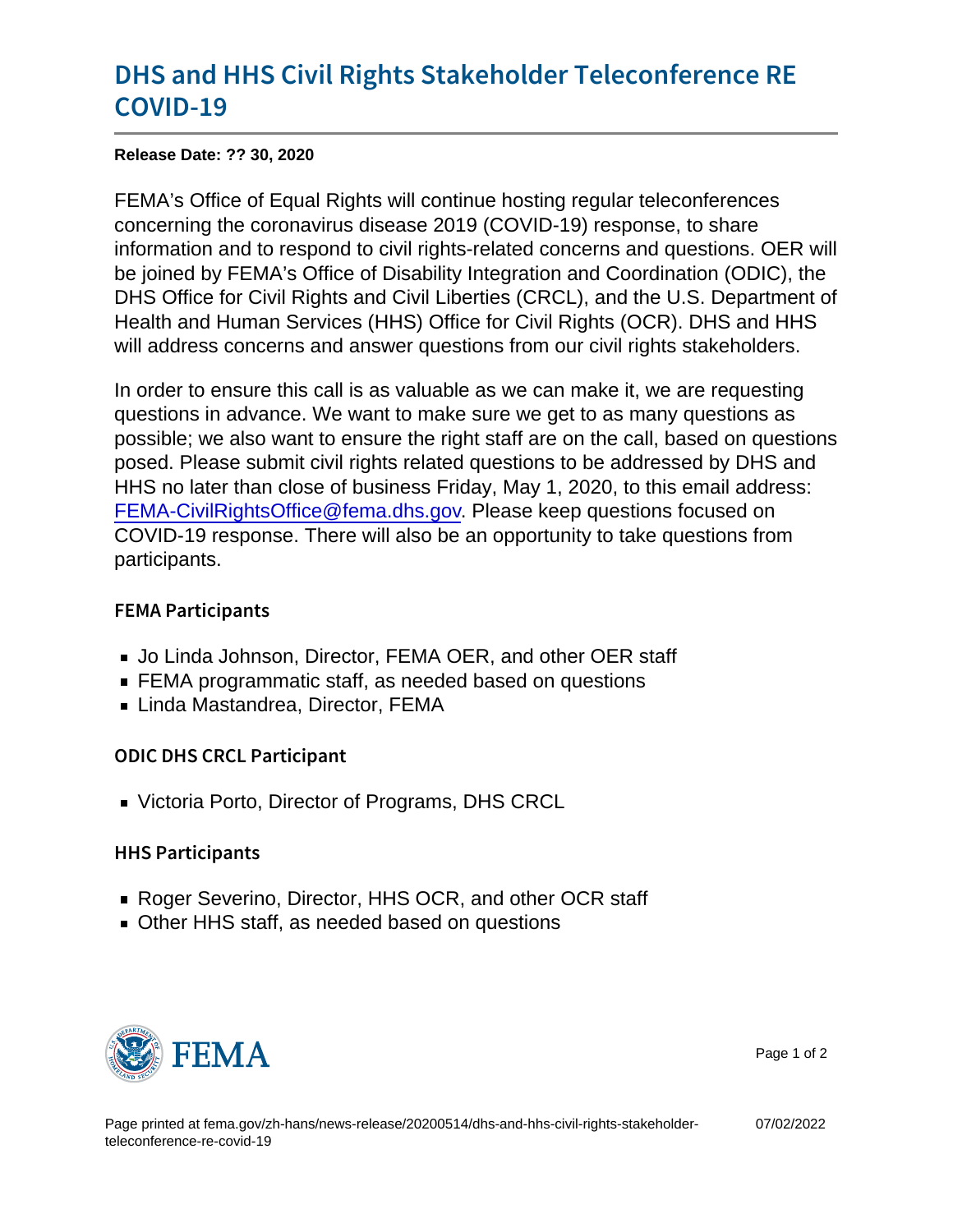## [DHS and HHS Civil Rights Stakeho](https://www.fema.gov/press-release/20210318/dhs-and-hhs-civil-rights-stakeholder-teleconference-re-covid-19)lder Te [COVID](https://www.fema.gov/press-release/20210318/dhs-and-hhs-civil-rights-stakeholder-teleconference-re-covid-19)-19

Release Date: ?? 30, 2020

FEMA's Office of Equal Rights will continue hosting regular teleconferences concerning the coronavirus disease 2019 (COVID-19) response, to share information and to respond to civil rights-related concerns and questions. OER will be joined by FEMA's Office of Disability Integration and Coordination (ODIC), the DHS Office for Civil Rights and Civil Liberties (CRCL), and the U.S. Department of Health and Human Services (HHS) Office for Civil Rights (OCR). DHS and HHS will address concerns and answer questions from our civil rights stakeholders.

In order to ensure this call is as valuable as we can make it, we are requesting questions in advance. We want to make sure we get to as many questions as possible; we also want to ensure the right staff are on the call, based on questions posed. Please submit civil rights related questions to be addressed by DHS and HHS no later than close of business Friday, May 1, 2020, to this email address: [FEMA-CivilRightsOffice@fema.dhs.gov](mailto:FEMA-CivilRightsOffice@fema.dhs.gov). Please keep questions focused on COVID-19 response. There will also be an opportunity to take questions from participants.

## FEMA Participants

- Jo Linda Johnson, Director, FEMA OER, and other OER staff
- **FEMA** programmatic staff, as needed based on questions
- **Example 2** Linda Mastandrea, Director, FEMA

ODIC DHS CRCL Participant

■ Victoria Porto, Director of Programs, DHS CRCL

## HHS Participants

- Roger Severino, Director, HHS OCR, and other OCR staff
- **Deal** Other HHS staff, as needed based on questions